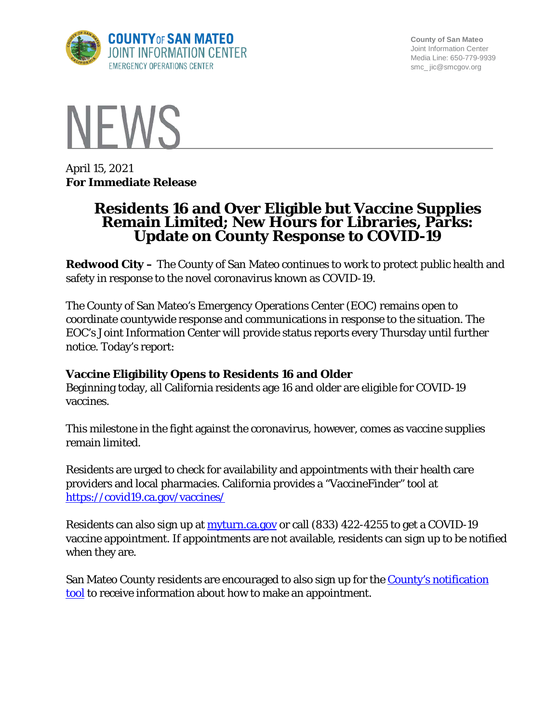

**County of San Mateo** Joint Information Center Media Line: 650-779-9939 smc\_ jic@smcgov.org



April 15, 2021 **For Immediate Release**

# **Residents 16 and Over Eligible but Vaccine Supplies Remain Limited; New Hours for Libraries, Parks: Update on County Response to COVID-19**

**Redwood City –** The County of San Mateo continues to work to protect public health and safety in response to the novel coronavirus known as COVID-19.

The County of San Mateo's Emergency Operations Center (EOC) remains open to coordinate countywide response and communications in response to the situation. The EOC's Joint Information Center will provide status reports every Thursday until further notice. Today's report:

## **Vaccine Eligibility Opens to Residents 16 and Older**

Beginning today, all California residents age 16 and older are eligible for COVID-19 vaccines.

This milestone in the fight against the coronavirus, however, comes as vaccine supplies remain limited.

Residents are urged to check for availability and appointments with their health care providers and local pharmacies. California provides a "VaccineFinder" tool at <https://covid19.ca.gov/vaccines/>

Residents can also sign up at [myturn.ca.gov](https://myturn.ca.gov/landing) or call (833) 422-4255 to get a COVID-19 vaccine appointment. If appointments are not available, residents can sign up to be notified when they are.

San Mateo County residents are encouraged to also sign up for the County's notification [tool](http://forms.office.com/Pages/ResponsePage.aspx?id=Nfb6DU2gzEin422hrwiD-S6Nu8Fm05tAlD6PWRPnVIxUOUo0N0NUM1VDRUtVMDlBMlZBNFFBOFVNVyQlQCN0PWcu&wdLOR=c539C3515-F3DE-944B-88F3-A8F48EC76AB3) to receive information about how to make an appointment.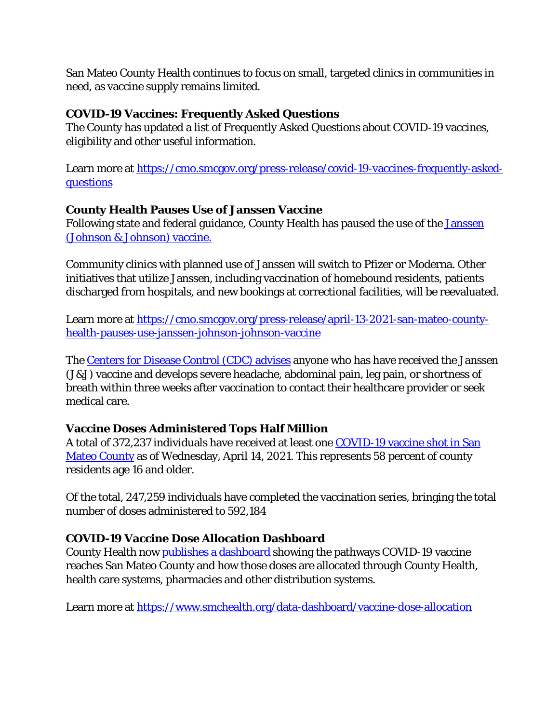San Mateo County Health continues to focus on small, targeted clinics in communities in need, as vaccine supply remains limited.

#### **COVID-19 Vaccines: Frequently Asked Questions**

The County has updated a list of Frequently Asked Questions about COVID-19 vaccines, eligibility and other useful information.

Learn more at [https://cmo.smcgov.org/press-release/covid-19-vaccines-frequently-asked](https://cmo.smcgov.org/press-release/covid-19-vaccines-frequently-asked-questions)[questions](https://cmo.smcgov.org/press-release/covid-19-vaccines-frequently-asked-questions)

### **County Health Pauses Use of Janssen Vaccine**

Following state and federal guidance, County Health has paused the use of the [Janssen](https://cmo.smcgov.org/press-release/april-13-2021-san-mateo-county-health-pauses-use-janssen-johnson-johnson-vaccine)  [\(Johnson & Johnson\) vaccine.](https://cmo.smcgov.org/press-release/april-13-2021-san-mateo-county-health-pauses-use-janssen-johnson-johnson-vaccine)

Community clinics with planned use of Janssen will switch to Pfizer or Moderna. Other initiatives that utilize Janssen, including vaccination of homebound residents, patients discharged from hospitals, and new bookings at correctional facilities, will be reevaluated.

Learn more at [https://cmo.smcgov.org/press-release/april-13-2021-san-mateo-county](https://cmo.smcgov.org/press-release/april-13-2021-san-mateo-county-health-pauses-use-janssen-johnson-johnson-vaccine)[health-pauses-use-janssen-johnson-johnson-vaccine](https://cmo.smcgov.org/press-release/april-13-2021-san-mateo-county-health-pauses-use-janssen-johnson-johnson-vaccine)

The [Centers for Disease Control \(CDC\) advises](https://emergency.cdc.gov/han/2021/han00442.asp) anyone who has have received the Janssen (J&J) vaccine and develops severe headache, abdominal pain, leg pain, or shortness of breath within three weeks after vaccination to contact their healthcare provider or seek medical care.

## **Vaccine Doses Administered Tops Half Million**

A total of 372,237 individuals have received at least one [COVID-19 vaccine shot in San](https://www.smchealth.org/data-dashboard/vaccination-totals-locations-data)  [Mateo County](https://www.smchealth.org/data-dashboard/vaccination-totals-locations-data) as of Wednesday, April 14, 2021. This represents 58 percent of county residents age 16 and older.

Of the total, 247,259 individuals have completed the vaccination series, bringing the total number of doses administered to 592,184

## **COVID-19 Vaccine Dose Allocation Dashboard**

County Health now [publishes a dashboard](https://www.smchealth.org/data-dashboard/vaccine-dose-allocation) showing the pathways COVID-19 vaccine reaches San Mateo County and how those doses are allocated through County Health, health care systems, pharmacies and other distribution systems.

Learn more at<https://www.smchealth.org/data-dashboard/vaccine-dose-allocation>